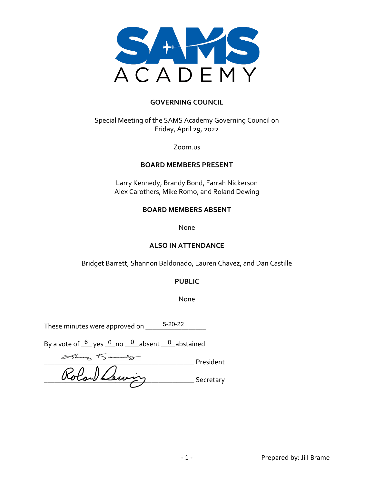

#### **GOVERNING COUNCIL**

Special Meeting of the SAMS Academy Governing Council on Friday, April 29, 2022

Zoom.us

#### **BOARD MEMBERS PRESENT**

Larry Kennedy, Brandy Bond, Farrah Nickerson Alex Carothers, Mike Romo, and Roland Dewing

#### **BOARD MEMBERS ABSENT**

None

#### **ALSO IN ATTENDANCE**

Bridget Barrett, Shannon Baldonado, Lauren Chavez, and Dan Castille

#### **PUBLIC**

None

These minutes were approved on \_\_\_\_\_ 5-20-22

By a vote of  $6/6$  yes  $10/10$  no  $10/10$  absent  $1/10$  abstained

\_\_\_\_\_\_\_\_\_\_\_\_\_\_\_\_\_\_\_\_\_\_\_\_\_\_\_\_\_\_\_\_\_\_\_\_\_\_\_\_\_\_ President \_\_\_\_\_\_\_\_\_\_\_\_\_\_\_\_\_\_\_\_\_\_\_\_\_\_\_\_\_\_\_\_\_\_\_\_\_\_\_\_\_\_ Secretary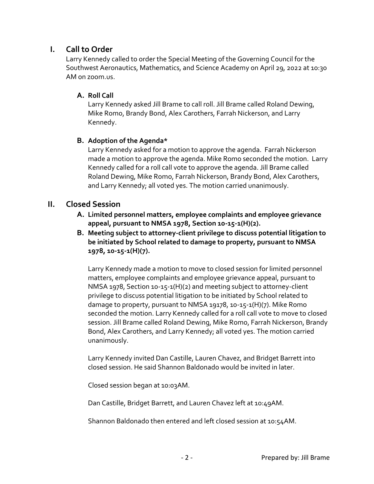# **I. Call to Order**

Larry Kennedy called to order the Special Meeting of the Governing Council for the Southwest Aeronautics, Mathematics, and Science Academy on April 29, 2022 at 10:30 AM on zoom.us.

## **A. Roll Call**

Larry Kennedy asked Jill Brame to call roll. Jill Brame called Roland Dewing, Mike Romo, Brandy Bond, Alex Carothers, Farrah Nickerson, and Larry Kennedy.

## **B. Adoption of the Agenda\***

Larry Kennedy asked for a motion to approve the agenda. Farrah Nickerson made a motion to approve the agenda. Mike Romo seconded the motion. Larry Kennedy called for a roll call vote to approve the agenda. Jill Brame called Roland Dewing, Mike Romo, Farrah Nickerson, Brandy Bond, Alex Carothers, and Larry Kennedy; all voted yes. The motion carried unanimously.

# **II. Closed Session**

- **A. Limited personnel matters, employee complaints and employee grievance appeal, pursuant to NMSA 1978, Section 10-15-1(H)(2).**
- **B. Meeting subject to attorney-client privilege to discuss potential litigation to be initiated by School related to damage to property, pursuant to NMSA 1978, 10-15-1(H)(7).**

Larry Kennedy made a motion to move to closed session for limited personnel matters, employee complaints and employee grievance appeal, pursuant to NMSA 1978, Section 10-15-1(H)(2) and meeting subject to attorney-client privilege to discuss potential litigation to be initiated by School related to damage to property, pursuant to NMSA 19178, 10-15-1(H)(7). Mike Romo seconded the motion. Larry Kennedy called for a roll call vote to move to closed session. Jill Brame called Roland Dewing, Mike Romo, Farrah Nickerson, Brandy Bond, Alex Carothers, and Larry Kennedy; all voted yes. The motion carried unanimously.

Larry Kennedy invited Dan Castille, Lauren Chavez, and Bridget Barrett into closed session. He said Shannon Baldonado would be invited in later.

Closed session began at 10:03AM.

Dan Castille, Bridget Barrett, and Lauren Chavez left at 10:49AM.

Shannon Baldonado then entered and left closed session at 10:54AM.